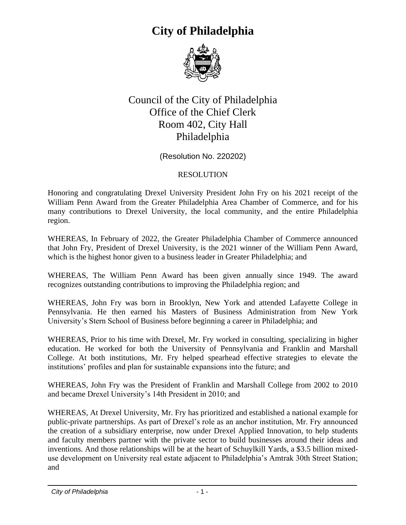

#### Council of the City of Philadelphia Office of the Chief Clerk Room 402, City Hall Philadelphia

(Resolution No. 220202)

#### RESOLUTION

Honoring and congratulating Drexel University President John Fry on his 2021 receipt of the William Penn Award from the Greater Philadelphia Area Chamber of Commerce, and for his many contributions to Drexel University, the local community, and the entire Philadelphia region.

WHEREAS, In February of 2022, the Greater Philadelphia Chamber of Commerce announced that John Fry, President of Drexel University, is the 2021 winner of the William Penn Award, which is the highest honor given to a business leader in Greater Philadelphia; and

WHEREAS, The William Penn Award has been given annually since 1949. The award recognizes outstanding contributions to improving the Philadelphia region; and

WHEREAS, John Fry was born in Brooklyn, New York and attended Lafayette College in Pennsylvania. He then earned his Masters of Business Administration from New York University's Stern School of Business before beginning a career in Philadelphia; and

WHEREAS, Prior to his time with Drexel, Mr. Fry worked in consulting, specializing in higher education. He worked for both the University of Pennsylvania and Franklin and Marshall College. At both institutions, Mr. Fry helped spearhead effective strategies to elevate the institutions' profiles and plan for sustainable expansions into the future; and

WHEREAS, John Fry was the President of Franklin and Marshall College from 2002 to 2010 and became Drexel University's 14th President in 2010; and

WHEREAS, At Drexel University, Mr. Fry has prioritized and established a national example for public-private partnerships. As part of Drexel's role as an anchor institution, Mr. Fry announced the creation of a subsidiary enterprise, now under Drexel Applied Innovation, to help students and faculty members partner with the private sector to build businesses around their ideas and inventions. And those relationships will be at the heart of Schuylkill Yards, a \$3.5 billion mixeduse development on University real estate adjacent to Philadelphia's Amtrak 30th Street Station; and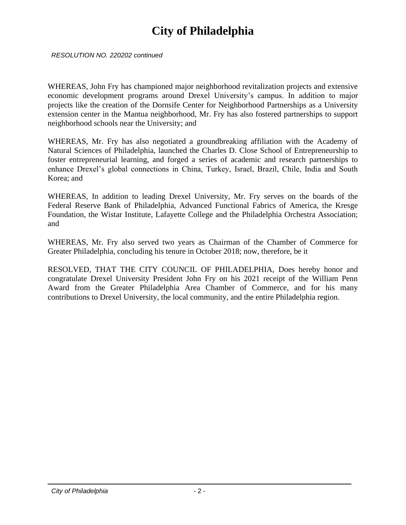*RESOLUTION NO. 220202 continued*

WHEREAS, John Fry has championed major neighborhood revitalization projects and extensive economic development programs around Drexel University's campus. In addition to major projects like the creation of the Dornsife Center for Neighborhood Partnerships as a University extension center in the Mantua neighborhood, Mr. Fry has also fostered partnerships to support neighborhood schools near the University; and

WHEREAS, Mr. Fry has also negotiated a groundbreaking affiliation with the Academy of Natural Sciences of Philadelphia, launched the Charles D. Close School of Entrepreneurship to foster entrepreneurial learning, and forged a series of academic and research partnerships to enhance Drexel's global connections in China, Turkey, Israel, Brazil, Chile, India and South Korea; and

WHEREAS, In addition to leading Drexel University, Mr. Fry serves on the boards of the Federal Reserve Bank of Philadelphia, Advanced Functional Fabrics of America, the Kresge Foundation, the Wistar Institute, Lafayette College and the Philadelphia Orchestra Association; and

WHEREAS, Mr. Fry also served two years as Chairman of the Chamber of Commerce for Greater Philadelphia, concluding his tenure in October 2018; now, therefore, be it

RESOLVED, THAT THE CITY COUNCIL OF PHILADELPHIA, Does hereby honor and congratulate Drexel University President John Fry on his 2021 receipt of the William Penn Award from the Greater Philadelphia Area Chamber of Commerce, and for his many contributions to Drexel University, the local community, and the entire Philadelphia region.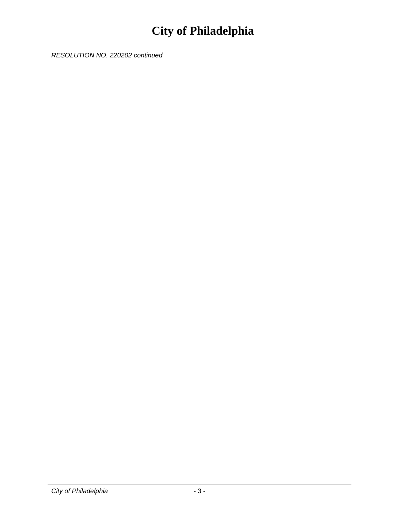*RESOLUTION NO. 220202 continued*